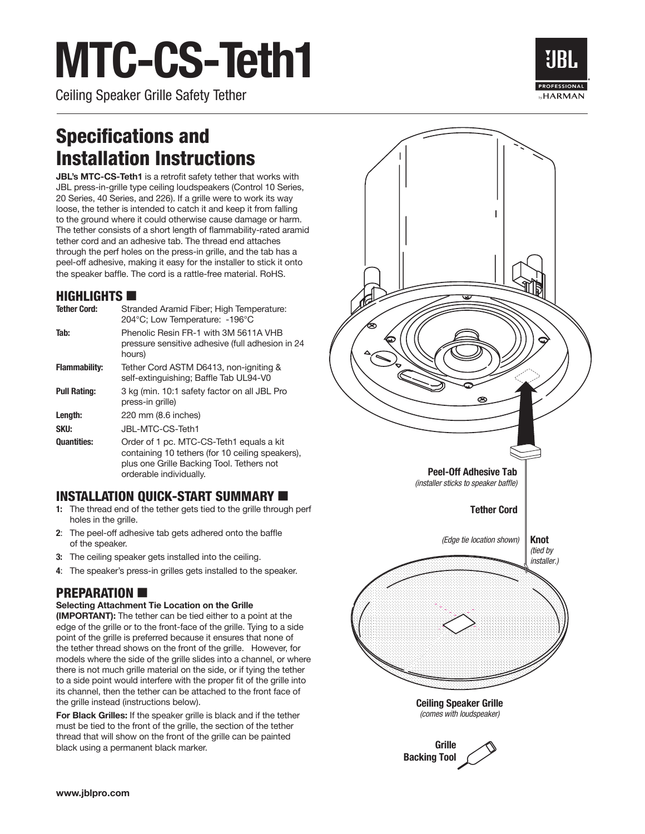# **MTC-CS-Teth1**

Ceiling Speaker Grille Safety Tether



### Specifications and Installation Instructions

**JBL's MTC-CS-Teth1** is a retrofit safety tether that works with JBL press-in-grille type ceiling loudspeakers (Control 10 Series, 20 Series, 40 Series, and 226). If a grille were to work its way loose, the tether is intended to catch it and keep it from falling to the ground where it could otherwise cause damage or harm. The tether consists of a short length of flammability-rated aramid tether cord and an adhesive tab. The thread end attaches through the perf holes on the press-in grille, and the tab has a peel-off adhesive, making it easy for the installer to stick it onto the speaker baffle. The cord is a rattle-free material. RoHS.

#### $H$ IGHLIGHTS

| <b>Tether Cord:</b>  | Stranded Aramid Fiber; High Temperature:<br>204°C; Low Temperature: -196°C                                                                                           |
|----------------------|----------------------------------------------------------------------------------------------------------------------------------------------------------------------|
| Tab:                 | Phenolic Resin FR-1 with 3M 5611A VHB<br>pressure sensitive adhesive (full adhesion in 24<br>hours)                                                                  |
| <b>Flammability:</b> | Tether Cord ASTM D6413, non-igniting &<br>self-extinguishing; Baffle Tab UL94-V0                                                                                     |
| <b>Pull Rating:</b>  | 3 kg (min. 10:1 safety factor on all JBL Pro<br>press-in grille)                                                                                                     |
| Length:              | 220 mm (8.6 inches)                                                                                                                                                  |
| SKU:                 | JBL-MTC-CS-Teth1                                                                                                                                                     |
| <b>Quantities:</b>   | Order of 1 pc. MTC-CS-Teth1 equals a kit<br>containing 10 tethers (for 10 ceiling speakers),<br>plus one Grille Backing Tool. Tethers not<br>orderable individually. |

### INSTALLATION QUICK-START SUMMARY  $\blacksquare$

- **1:** The thread end of the tether gets tied to the grille through perf holes in the grille.
- **2**: The peel-off adhesive tab gets adhered onto the baffle of the speaker.
- **3:** The ceiling speaker gets installed into the ceiling.
- **4**: The speaker's press-in grilles gets installed to the speaker.

### **PREPARATION**

#### **Selecting Attachment Tie Location on the Grille**

**(IMPORTANT):** The tether can be tied either to a point at the edge of the grille or to the front-face of the grille. Tying to a side point of the grille is preferred because it ensures that none of the tether thread shows on the front of the grille. However, for models where the side of the grille slides into a channel, or where there is not much grille material on the side, or if tying the tether to a side point would interfere with the proper fit of the grille into its channel, then the tether can be attached to the front face of the grille instead (instructions below).

**For Black Grilles:** If the speaker grille is black and if the tether must be tied to the front of the grille, the section of the tether thread that will show on the front of the grille can be painted black using a permanent black marker.